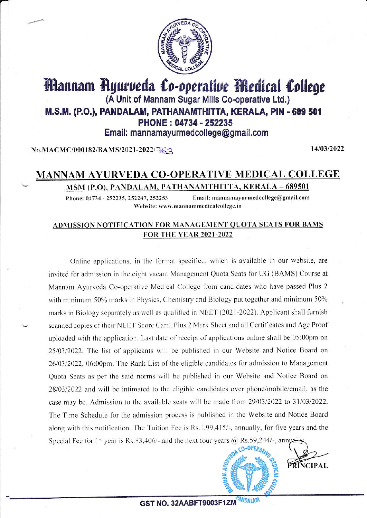

## Mannam Ryurveda Co-operative Medical College (A Unit of Mannam Sugar Mills Co-operative Ltd.) M.S.M. (P.O.), PANDALAM, PATHANAMTHITTA, KERALA, PIN - 689 501 PHONE: 04734 - 252235 Email: mannamayurmedcollege@gmail.com

No.MACMC/000182/BAMS/2021-2022/FG2

14/03/2022

### **MANNAM AYURVEDA CO-OPERATIVE MEDICAL COLLEGE** MSM (P.O), PANDALAM, PATHANAMTHITTA, KERALA – 689501

Email: mannamayurmedcollege@gmail.com Phone: 04734 - 252235, 252247, 252253 Website: www.mannammedicalcollege.in

#### ADMISSION NOTIFICATION FOR MANAGEMENT QUOTA SEATS FOR BAMS **FOR THE YEAR 2021-2022**

Online applications, in the format specified, which is available in our website, are invited for admission in the eight vacant Management Quota Seats for UG (BAMS) Course at Mannam Ayurveda Co-operative Medical College from candidates who have passed Plus 2 with minimum 50% marks in Physics, Chemistry and Biology put together and minimum 50% marks in Biology separately as well as qualified in NEET (2021-2022). Applicant shall furnish scanned copies of their NEET Score Card, Plus 2 Mark Sheet and all Certificates and Age Proof uploaded with the application. Last date of receipt of applications online shall be 05:00pm on 25/03/2022. The list of applicants will be published in our Website and Notice Board on 26/03/2022, 06:00pm. The Rank List of the eligible candidates for admission to Management Quota Seats as per the said norms will be published in our Website and Notice Board on 28/03/2022 and will be intimated to the eligible candidates over phone/mobile/email, as the case may be. Admission to the available seats will be made from 29/03/2022 to 31/03/2022. The Time Schedule for the admission process is published in the Website and Notice Board along with this notification. The Tuition Fee is Rs.1,99,415/-, annually, for five years and the Special Fee for  $1^{st}$  year is Rs.83,406/- and the next four years @ Rs.59,244/-, annually



**PRINCIPAL**